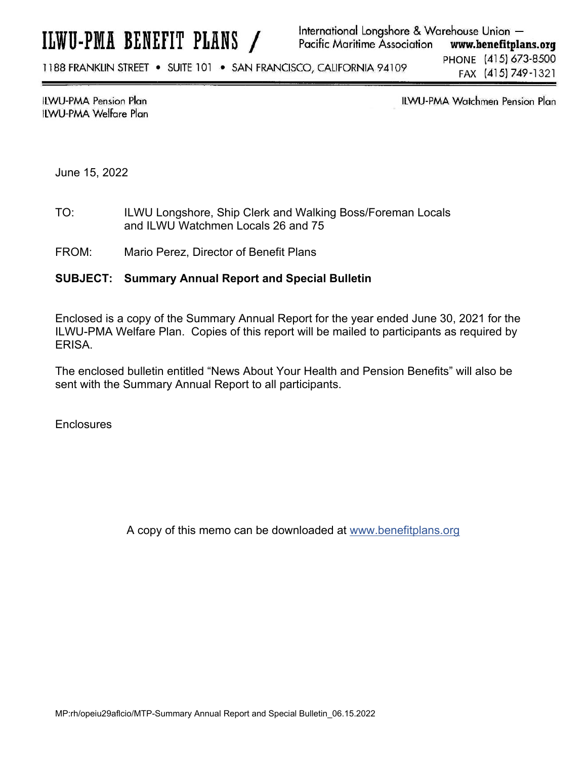1188 FRANKLIN STREET . SUITE 101 . SAN FRANCISCO, CALIFORNIA 94109

PHONE (415) 673-8500 FAX (415) 749-1321

**ILWU-PMA Pension Plan** ILWU-PMA Welfare Plan ILWU-PMA Watchmen Pension Plan

June 15, 2022

- TO: ILWU Longshore, Ship Clerk and Walking Boss/Foreman Locals and ILWU Watchmen Locals 26 and 75
- FROM: Mario Perez, Director of Benefit Plans

## **SUBJECT: Summary Annual Report and Special Bulletin**

Enclosed is a copy of the Summary Annual Report for the year ended June 30, 2021 for the ILWU-PMA Welfare Plan. Copies of this report will be mailed to participants as required by ERISA.

The enclosed bulletin entitled "News About Your Health and Pension Benefits" will also be sent with the Summary Annual Report to all participants.

**Enclosures** 

A copy of this memo can be downloaded at www.benefitplans.org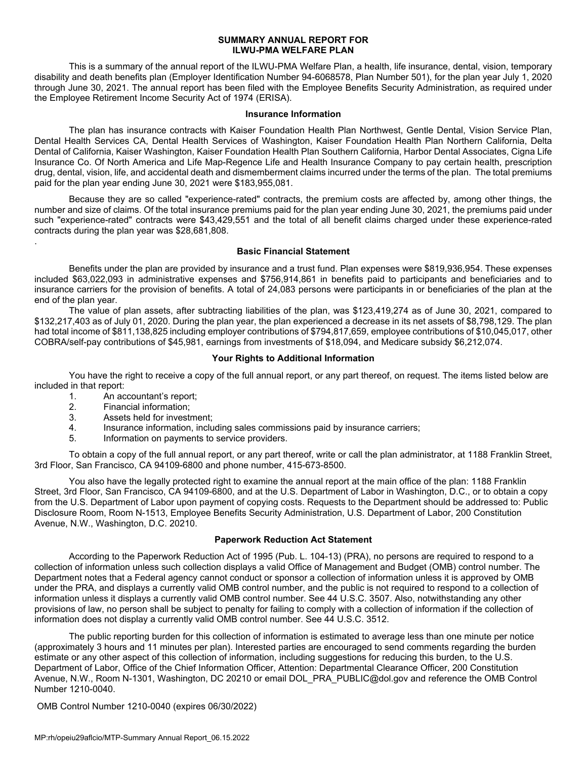#### **SUMMARY ANNUAL REPORT FOR ILWU-PMA WELFARE PLAN**

 This is a summary of the annual report of the ILWU-PMA Welfare Plan, a health, life insurance, dental, vision, temporary disability and death benefits plan (Employer Identification Number 94-6068578, Plan Number 501), for the plan year July 1, 2020 through June 30, 2021. The annual report has been filed with the Employee Benefits Security Administration, as required under the Employee Retirement Income Security Act of 1974 (ERISA).

#### **Insurance Information**

 The plan has insurance contracts with Kaiser Foundation Health Plan Northwest, Gentle Dental, Vision Service Plan, Dental Health Services CA, Dental Health Services of Washington, Kaiser Foundation Health Plan Northern California, Delta Dental of California, Kaiser Washington, Kaiser Foundation Health Plan Southern California, Harbor Dental Associates, Cigna Life Insurance Co. Of North America and Life Map-Regence Life and Health Insurance Company to pay certain health, prescription drug, dental, vision, life, and accidental death and dismemberment claims incurred under the terms of the plan. The total premiums paid for the plan year ending June 30, 2021 were \$183,955,081.

 Because they are so called "experience-rated" contracts, the premium costs are affected by, among other things, the number and size of claims. Of the total insurance premiums paid for the plan year ending June 30, 2021, the premiums paid under such "experience-rated" contracts were \$43,429,551 and the total of all benefit claims charged under these experience-rated contracts during the plan year was \$28,681,808.

### **Basic Financial Statement**

Benefits under the plan are provided by insurance and a trust fund. Plan expenses were \$819,936,954. These expenses included \$63,022,093 in administrative expenses and \$756,914,861 in benefits paid to participants and beneficiaries and to insurance carriers for the provision of benefits. A total of 24,083 persons were participants in or beneficiaries of the plan at the end of the plan year.

The value of plan assets, after subtracting liabilities of the plan, was \$123,419,274 as of June 30, 2021, compared to \$132,217,403 as of July 01, 2020. During the plan year, the plan experienced a decrease in its net assets of \$8,798,129. The plan had total income of \$811,138,825 including employer contributions of \$794,817,659, employee contributions of \$10,045,017, other COBRA/self-pay contributions of \$45,981, earnings from investments of \$18,094, and Medicare subsidy \$6,212,074.

## **Your Rights to Additional Information**

 You have the right to receive a copy of the full annual report, or any part thereof, on request. The items listed below are included in that report:

1. An accountant's report;

.

- 2. Financial information;
- 3. Assets held for investment;
- 4. Insurance information, including sales commissions paid by insurance carriers;
- 5. Information on payments to service providers.

 To obtain a copy of the full annual report, or any part thereof, write or call the plan administrator, at 1188 Franklin Street, 3rd Floor, San Francisco, CA 94109-6800 and phone number, 415-673-8500.

 You also have the legally protected right to examine the annual report at the main office of the plan: 1188 Franklin Street, 3rd Floor, San Francisco, CA 94109-6800, and at the U.S. Department of Labor in Washington, D.C., or to obtain a copy from the U.S. Department of Labor upon payment of copying costs. Requests to the Department should be addressed to: Public Disclosure Room, Room N-1513, Employee Benefits Security Administration, U.S. Department of Labor, 200 Constitution Avenue, N.W., Washington, D.C. 20210.

## **Paperwork Reduction Act Statement**

According to the Paperwork Reduction Act of 1995 (Pub. L. 104-13) (PRA), no persons are required to respond to a collection of information unless such collection displays a valid Office of Management and Budget (OMB) control number. The Department notes that a Federal agency cannot conduct or sponsor a collection of information unless it is approved by OMB under the PRA, and displays a currently valid OMB control number, and the public is not required to respond to a collection of information unless it displays a currently valid OMB control number. See 44 U.S.C. 3507. Also, notwithstanding any other provisions of law, no person shall be subject to penalty for failing to comply with a collection of information if the collection of information does not display a currently valid OMB control number. See 44 U.S.C. 3512.

The public reporting burden for this collection of information is estimated to average less than one minute per notice (approximately 3 hours and 11 minutes per plan). Interested parties are encouraged to send comments regarding the burden estimate or any other aspect of this collection of information, including suggestions for reducing this burden, to the U.S. Department of Labor, Office of the Chief Information Officer, Attention: Departmental Clearance Officer, 200 Constitution Avenue, N.W., Room N-1301, Washington, DC 20210 or email DOL\_PRA\_PUBLIC@dol.gov and reference the OMB Control Number 1210-0040.

OMB Control Number 1210-0040 (expires 06/30/2022)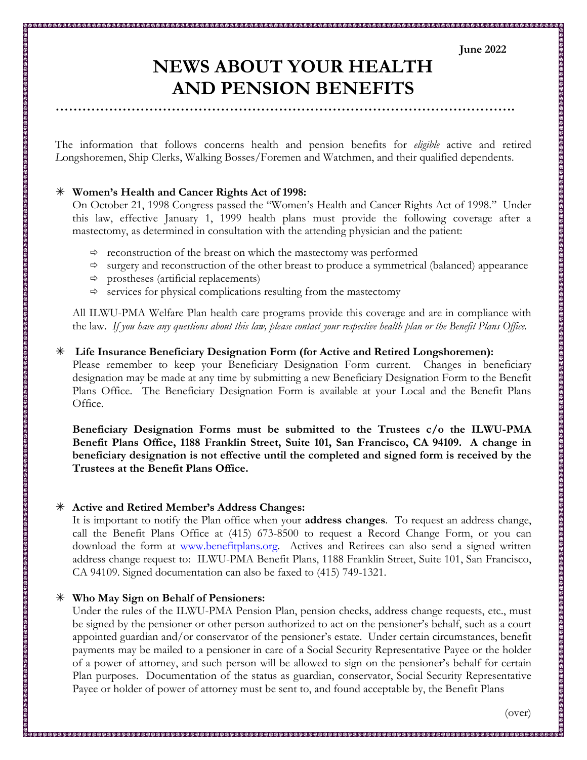# **June 2022**

# **NEWS ABOUT YOUR HEALTH AND PENSION BENEFITS**

The information that follows concerns health and pension benefits for *eligible* active and retired *L*ongshoremen, Ship Clerks, Walking Bosses/Foremen and Watchmen, and their qualified dependents.

## **Women's Health and Cancer Rights Act of 1998:**

On October 21, 1998 Congress passed the "Women's Health and Cancer Rights Act of 1998." Under this law, effective January 1, 1999 health plans must provide the following coverage after a mastectomy, as determined in consultation with the attending physician and the patient:

- $\Rightarrow$  reconstruction of the breast on which the mastectomy was performed
- $\Rightarrow$  surgery and reconstruction of the other breast to produce a symmetrical (balanced) appearance
- $\Rightarrow$  prostheses (artificial replacements)

 $\Rightarrow$  services for physical complications resulting from the mastectomy

All ILWU-PMA Welfare Plan health care programs provide this coverage and are in compliance with the law. *If you have any questions about this law, please contact your respective health plan or the Benefit Plans Office.* 

### **Life Insurance Beneficiary Designation Form (for Active and Retired Longshoremen):**

Please remember to keep your Beneficiary Designation Form current. Changes in beneficiary designation may be made at any time by submitting a new Beneficiary Designation Form to the Benefit Plans Office. The Beneficiary Designation Form is available at your Local and the Benefit Plans Office.

**Beneficiary Designation Forms must be submitted to the Trustees c/o the ILWU-PMA Benefit Plans Office, 1188 Franklin Street, Suite 101, San Francisco, CA 94109. A change in beneficiary designation is not effective until the completed and signed form is received by the Trustees at the Benefit Plans Office.** 

## **Active and Retired Member's Address Changes:**

It is important to notify the Plan office when your **address changes**. To request an address change, call the Benefit Plans Office at (415) 673-8500 to request a Record Change Form, or you can download the form at www.benefitplans.org. Actives and Retirees can also send a signed written address change request to: ILWU-PMA Benefit Plans, 1188 Franklin Street, Suite 101, San Francisco, CA 94109. Signed documentation can also be faxed to (415) 749-1321.

## **Who May Sign on Behalf of Pensioners:**

Under the rules of the ILWU-PMA Pension Plan, pension checks, address change requests, etc., must be signed by the pensioner or other person authorized to act on the pensioner's behalf, such as a court appointed guardian and/or conservator of the pensioner's estate. Under certain circumstances, benefit payments may be mailed to a pensioner in care of a Social Security Representative Payee or the holder of a power of attorney, and such person will be allowed to sign on the pensioner's behalf for certain Plan purposes. Documentation of the status as guardian, conservator, Social Security Representative Payee or holder of power of attorney must be sent to, and found acceptable by, the Benefit Plans